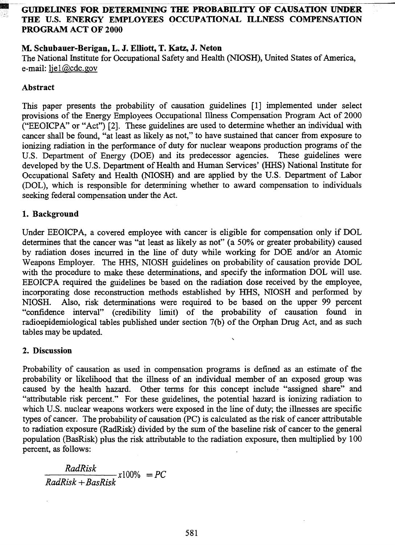# --~ -- ~ - - GUIDELINES FOR DETERMINING THE PROBABILITY OF CAUSATION UNDER THE U.S. ENERGY EMPLOYEES OCCUPATIONAL ILLNESS COMPENSATION PROGRAM ACT OF 2000

## M. Scbubauer-Berigan, L. J. Elliott, T. Katz, J. Neton

The National Institute for Occupational Safety and Health (NIOSH), United States of America, e-mail: liel@cdc.gov

## Abstract

This paper presents the probability of causation guidelines [1] implemented under select provisions of the Energy Employees Occupational Illness Compensation Program Act of 2000 ("EEOICPA" or "Act") [2]. These guidelines are used to determine whether an individual with cancer shall be found, "at least as likely as not," to have sustained that cancer from exposure to ionizing radiation in the performance of duty for nuclear weapons production programs of the U.S. Department of Energy (DOE) and its predecessor agencies. These guidelines were developed by the U.S. Department of Health and Human Services' (ffifS) National Institute for Occupational Safety and Health (NIOSH) and are applied by the U.S. Department of Labor (DOL), which is responsible for determining whether to award compensation to individuals seeking federal compensation under the Act.

#### 1. Background

Under EEOICPA, a covered employee with cancer is eligible for compensation only if DOL determines that the cancer was "at least as likely as not" (a 50% or greater probability) caused by radiation doses incurred in the line of duty while working for DOE and/or an Atomic Weapons Employer. The HHS, NIOSH guidelines on probability of causation provide DOL with the procedure to make these determinations, and specify the information DOL will use. EEOICPA required the guidelines be based on the radiation dose received by the employee, incorporating dose reconstruction methods established by HHS, NIOSH and performed by NIOSH. Also, risk determinations were required to be based on the upper 99 percent "confidence interval" (credibility limit) of the probability of causation found in radioepidemiological tables published under section 7(b) of the Orphan Drug Act, and as such tables may be updated. ,

#### 2. Discussion

Probability of causation as used in compensation programs is defined as an estimate of the probability or likelihood that the illness of an individual member of an exposed group was caused by the health hazard. Other terms for this concept include "assigned share" and "attributable risk percent." For these guidelines, the potential hazard is ionizing radiation to which U.S. nuclear weapons workers were exposed in the line of duty; the illnesses are specific types of cancer. The probability of causation (PC) is calculated as the risk of cancer attributable to radiation exposure (RadRisk) divided by the sum of the baseline risk of cancer to the general population (BasRisk) plus the risk attributable to the radiation exposure, then multiplied by 100 percent, as follows:

 $RadRisk$   $x1000$  = PC RadRisk + BasRisk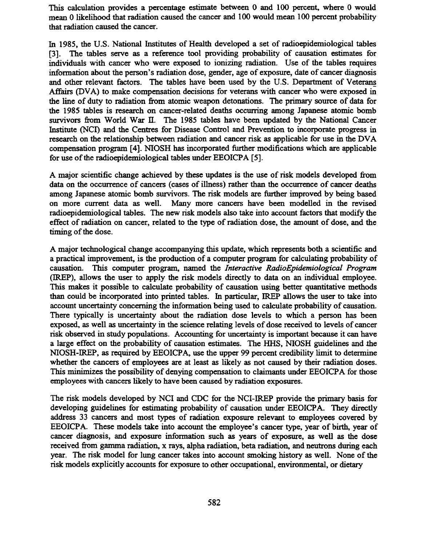This calculation provides a percentage estimate between 0 and 100 percent, where 0 would mean 0 likelihood that radiation caused the cancer and 100 would mean 100 percent probability that radiation caused the cancer.

In 1985, the U.S. National Institutes of Health developed a set of radioepidemiological tables [3]. The tables serve as a reference tool providing probability of causation estimates for individuals with cancer who were exposed to ionizing radiation. Use of the tables requires information about the person's radiation dose, gender, age of exposure, date of cancer diagnosis and other relevant factors. The tables have been used by the U.S. Department of Veterans Affairs (DVA) to make compensation decisions for veterans with cancer who were exposed in the line of duty to radiation from atomic weapon detonations. The primary source of data for the 1985 tables is research on cancer-related deaths occurring among Japanese atomic bomb survivors from World War II. The 1985 tables have been updated by the National Cancer Institute (NCI) and the Centres for Disease Control and Prevention to incorporate progress in research on the relationship between radiation and cancer risk as applicable for use in the DV A compensation program [4]. NIOSH has incorporated further modifications which are applicable for use of the radioepidemiological tables under EEOICPA [5].

A major scientific change achieved by these updates is the use of risk models developed from data on the occurrence of cancers (cases of illness) rather than the occurrence of cancer deaths among Japanese atomic bomb survivors. The risk models are further improved by being based on more current data as well. Many more cancers have been modelled in the revised radioepidemiological tables. The new risk models also take into account factors that modify the effect of radiation on cancer, related to the type of radiation dose, the amount of dose, and the timing of the dose.

A major technological change accompanying this update, which represents both a scientific and a practical improvement, is the production of a computer program for calculating probability of causation. This computer program, named the Interactive RadioEpidemiological Program (IREP), allows the user to apply the risk models directly to data on an individual employee. This makes it possible to calculate probability of causation using better quantitative methods than could be incorporated into printed tables. In particular, IREP allows the user to take into account uncertainty concerning the information being used to calculate probability of causation. There typically is uncertainty about the radiation dose levels to which a person has been exposed, as well as uncertainty in the science relating levels of dose received to levels of cancer risk observed in study populations. Accounting for uncertainty is important because it can have a large effect on the probability of causation estimates. The mIS, NIOSH guidelines and the NIOSH-IREP, as required by EEOICPA, use the upper 99 percent credibility limit to determine whether the cancers of employees are at least as likely as not caused by their radiation doses. This minimizes the possibility of denying compensation to claimants under EEOICPA for those employees with cancers likely to have been caused by radiation exposures.

The risk models developed by NCI and CDC for the NCI-IREP provide the primary basis for developing guidelines for estimating probability of causation under EEOICPA. They directly address 33 cancers and most types of radiation exposure relevant to employees covered by EEOICPA. These models take into account the employee's cancer type, year of birth, year of cancer diagnosis, and exposure information such as years of exposure, as well as the dose received from gamma radiation, x rays, alpha radiation, beta radiation, and neutrons during each year. The risk model for lung cancer takes into account smoking history as well. None of the risk models explicitly accounts for exposure to other occupational, environmental, or dietary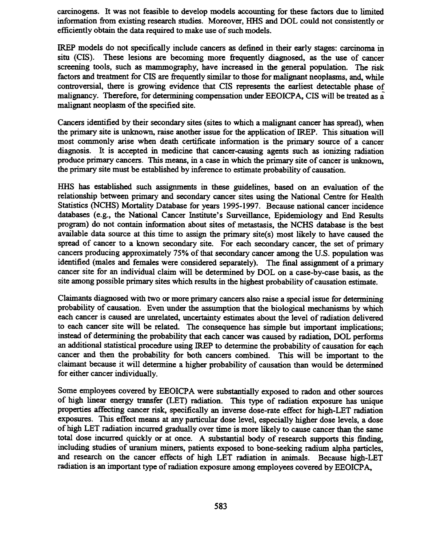carcinogens. It was not feasible to develop models accounting for these factors due to limited information from existing research studies. Moreover, HHS and DOL could not consistently or efficiently obtain the data required to make use of such models.

IREP models do not specifically include cancers as defined in their early stages: carcinoma in situ (CIS). These lesions are becoming more frequently diagnosed, as the use of cancer screening tools, such as mammography, have increased in the general population. The risk factors and treatment for CIS are frequently similar to those for malignant neoplasms, and, while controversial, there is growing evidence that CIS represents the earliest detectable phase of malignancy. Therefore, for determining compensation under EEOICPA, CIS will be treated as  $\overline{a}$ malignant neoplasm of the specified site.

Cancers identified by their secondary sites (sites to which a malignant cancer has spread), when the primary site is unknown, raise another issue for the application of IREP. This situation will most commonly arise when death certificate information is the primary source of a cancer diagnosis. It is accepted in medicine that cancer-causing agents such as ionizing radiation produce primary cancers. This means, in a case in which the primary site of cancer is unknown, the primary site must be established by inference to estimate probability of causation.

HHS has established such assignments in these guidelines, based on an evaluation of the relationship between primary and secondary cancer sites using the National Centre for Health Statistics (NCHS) Mortality Database for years 1995-1997. Because national cancer incidence databases (e.g., the National Cancer Institute's Surveillance, Epidemiology and End Results program) do not contain information about sites of metastasis, the NCHS database is the best available data source at this time to assign the primary site(s) most likely to have caused the spread of cancer to a known secondary site. For each secondary cancer, the set of primary cancers producing approximately 75% of that secondary cancer among the U.S. population was identified (males and females were considered separately). The final assignment of a primary cancer site for an individual claim will be determined by DOL on a case-by-case basis, as the site among possible primary sites which results in the highest probability of causation estimate.

Claimants diagnosed with two or more primary cancers also raise a special issue for determining probability of causation. Even under the assumption that the biological mechanisms by which each cancer is caused are unrelated, uncertainty estimates about the level of radiation delivered to each cancer site will be related. The consequence has simple but important implications; instead of detennining the probability that each cancer was caused by radiation, DOL perfonns an additional statistical procedure using IREP to determine the probability of causation for each cancer and then the probability for both cancers combined. This will be important to the claimant because it will determine a higher probability of causation than would be determined for either cancer individually.

Some employees covered by EEOICPA were substantially exposed to radon and other sources of high linear energy transfer (LET) radiation. This type of radiation exposure has unique properties affecting cancer risk, specifically an inverse dose-rate effect for high-LET radiation exposures. This effect means at any particular dose level, especially higher dose levels, a dose of high LET radiation incurred gradually over time is more likely to cause cancer than the same total dose incurred quickly or at once. A substantial body of research supports this finding, including studies of uranium miners, patients exposed to bone-seeking radium alpha particles, and research on the cancer effects of high LET radiation in animals. Because high-LET radiation is an important type of radiation exposure among employees covered by EEOICP A,